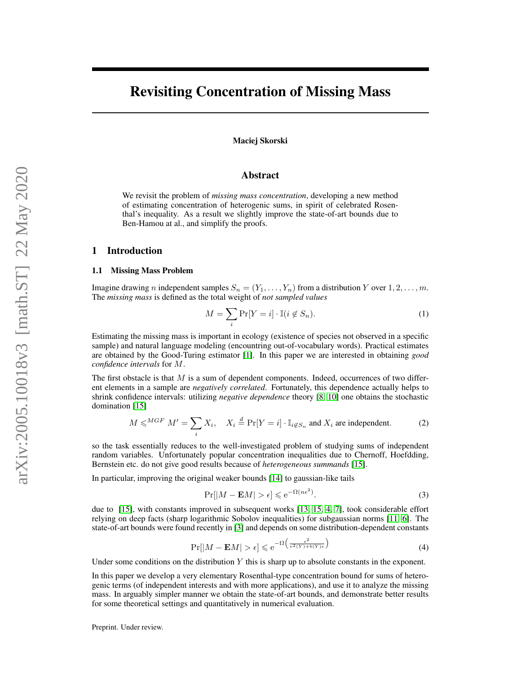# Revisiting Concentration of Missing Mass

### Maciej Skorski

### Abstract

We revisit the problem of *missing mass concentration*, developing a new method of estimating concentration of heterogenic sums, in spirit of celebrated Rosenthal's inequality. As a result we slightly improve the state-of-art bounds due to Ben-Hamou at al., and simplify the proofs.

### 1 Introduction

### 1.1 Missing Mass Problem

Imagine drawing n independent samples  $S_n = (Y_1, \ldots, Y_n)$  from a distribution Y over  $1, 2, \ldots, m$ . The *missing mass* is defined as the total weight of *not sampled values*

<span id="page-0-0"></span>
$$
M = \sum_{i} \Pr[Y = i] \cdot \mathbb{I}(i \notin S_n). \tag{1}
$$

Estimating the missing mass is important in ecology (existence of species not observed in a specific sample) and natural language modeling (encountring out-of-vocabulary words). Practical estimates are obtained by the Good-Turing estimator [\[1\]](#page-7-0). In this paper we are interested in obtaining *good confidence intervals* for M.

The first obstacle is that  $M$  is a sum of dependent components. Indeed, occurrences of two different elements in a sample are *negatively correlated*. Fortunately, this dependence actually helps to shrink confidence intervals: utilizing *negative dependence* theory [\[8,](#page-7-1) [10\]](#page-8-0) one obtains the stochastic domination [\[15\]](#page-8-1)

$$
M \leqslant^{MGF} M' = \sum_{i} X_{i}, \quad X_{i} \stackrel{d}{=} \Pr[Y = i] \cdot \mathbb{I}_{i \notin S_{n}} \text{ and } X_{i} \text{ are independent.}
$$
 (2)

so the task essentially reduces to the well-investigated problem of studying sums of independent random variables. Unfortunately popular concentration inequalities due to Chernoff, Hoefdding, Bernstein etc. do not give good results because of *heterogeneous summands* [\[15\]](#page-8-1).

In particular, improving the original weaker bounds [\[14\]](#page-8-2) to gaussian-like tails

<span id="page-0-2"></span><span id="page-0-1"></span>
$$
\Pr[|M - \mathbf{E}M| > \epsilon] \le e^{-\Omega(n\epsilon^2)}.
$$
\n(3)

due to [\[15\]](#page-8-1), with constants improved in subsequent works [\[13,](#page-8-3) [15,](#page-8-1) [4,](#page-7-2) [7\]](#page-7-3), took considerable effort relying on deep facts (sharp logarithmic Sobolov inequalities) for subgaussian norms [\[11,](#page-8-4) [6\]](#page-7-4). The state-of-art bounds were found recently in [\[3\]](#page-7-5) and depends on some distribution-dependent constants

$$
\Pr[|M - \mathbf{E}M| > \epsilon] \le e^{-\Omega\left(\frac{\epsilon^2}{v^2(Y) + b(Y)\epsilon}\right)}\tag{4}
$$

Under some conditions on the distribution  $Y$  this is sharp up to absolute constants in the exponent.

In this paper we develop a very elementary Rosenthal-type concentration bound for sums of heterogenic terms (of independent interests and with more applications), and use it to analyze the missing mass. In arguably simpler manner we obtain the state-of-art bounds, and demonstrate better results for some theoretical settings and quantitatively in numerical evaluation.

Preprint. Under review.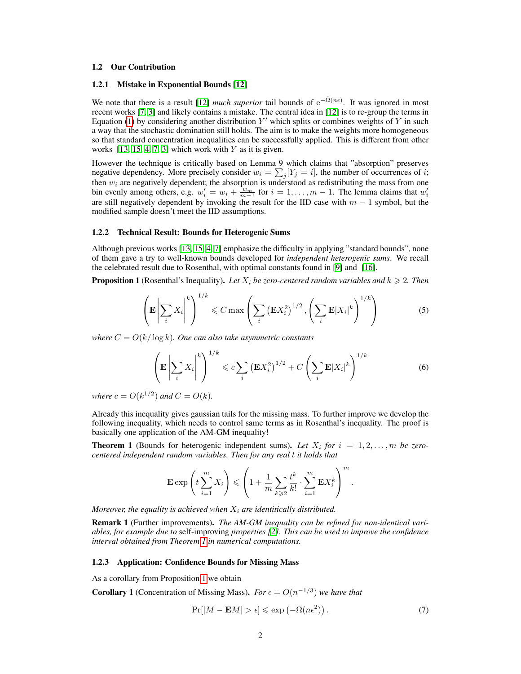### 1.2 Our Contribution

### 1.2.1 Mistake in Exponential Bounds [\[12\]](#page-8-5)

We note that there is a result [\[12\]](#page-8-5) *much superior* tail bounds of  $e^{-\tilde{\Omega}(n\epsilon)}$ . It was ignored in most recent works [\[7,](#page-7-3) [3\]](#page-7-5) and likely contains a mistake. The central idea in [\[12\]](#page-8-5) is to re-group the terms in Equation [\(1\)](#page-0-0) by considering another distribution  $Y'$  which splits or combines weights of Y in such a way that the stochastic domination still holds. The aim is to make the weights more homogeneous so that standard concentration inequalities can be successfully applied. This is different from other works  $[13, 15, 4, 7, 3]$  $[13, 15, 4, 7, 3]$  $[13, 15, 4, 7, 3]$  $[13, 15, 4, 7, 3]$  $[13, 15, 4, 7, 3]$  which work with Y as it is given.

However the technique is critically based on Lemma 9 which claims that "absorption" preserves negative dependency. More precisely consider  $w_i = \sum_j [Y_j = i]$ , the number of occurrences of *i*; then  $w_i$  are negatively dependent; the absorption is understood as redistributing the mass from one bin evenly among others, e.g.  $w'_i = w_i + \frac{w_m}{m-1}$  for  $i = 1, ..., m-1$ . The lemma claims that  $w'_i$ are still negatively dependent by invoking the result for the IID case with  $m - 1$  symbol, but the modified sample doesn't meet the IID assumptions.

### 1.2.2 Technical Result: Bounds for Heterogenic Sums

Although previous works [\[13,](#page-8-3) [15,](#page-8-1) [4,](#page-7-2) [7\]](#page-7-3) emphasize the difficulty in applying "standard bounds", none of them gave a try to well-known bounds developed for *independent heterogenic sums*. We recall the celebrated result due to Rosenthal, with optimal constants found in [\[9\]](#page-7-6) and [\[16\]](#page-8-6).

<span id="page-1-1"></span>**Proposition 1** (Rosenthal's Inequality). Let  $X_i$  be zero-centered random variables and  $k \geq 2$ . Then

$$
\left(\mathbf{E}\left|\sum_{i} X_{i}\right|^{k}\right)^{1/k} \leqslant C \max\left(\sum_{i} \left(\mathbf{E} X_{i}^{2}\right)^{1/2}, \left(\sum_{i} \mathbf{E}|X_{i}|^{k}\right)^{1/k}\right) \tag{5}
$$

*where*  $C = O(k/\log k)$ *. One can also take asymmetric constants* 

$$
\left(\mathbf{E}\left|\sum_{i} X_{i}\right|^{k}\right)^{1/k} \leqslant c \sum_{i} \left(\mathbf{E} X_{i}^{2}\right)^{1/2} + C\left(\sum_{i} \mathbf{E}|X_{i}|^{k}\right)^{1/k} \tag{6}
$$

*where*  $c = O(k^{1/2})$  *and*  $C = O(k)$ *.* 

Already this inequality gives gaussian tails for the missing mass. To further improve we develop the following inequality, which needs to control same terms as in Rosenthal's inequality. The proof is basically one application of the AM-GM inequality!

<span id="page-1-0"></span>**Theorem 1** (Bounds for heterogenic independent sums). Let  $X_i$  for  $i = 1, 2, \ldots, m$  be zero*centered independent random variables. Then for any real* t *it holds that*

$$
\mathbf{E} \exp\left(t\sum_{i=1}^m X_i\right) \leqslant \left(1 + \frac{1}{m}\sum_{k\geqslant 2} \frac{t^k}{k!} \cdot \sum_{i=1}^m \mathbf{E} X_i^k\right)^m.
$$

*Moreover, the equality is achieved when*  $X_i$  *are identitically distributed.* 

Remark 1 (Further improvements). *The AM-GM inequality can be refined for non-identical variables, for example due to* self-improving *properties [\[2\]](#page-7-7). This can be used to improve the confidence interval obtained from Theorem [1](#page-1-0) in numerical computations.*

### 1.2.3 Application: Confidence Bounds for Missing Mass

As a corollary from Proposition [1](#page-1-1) we obtain

<span id="page-1-2"></span>**Corollary 1** (Concentration of Missing Mass). *For*  $\epsilon = O(n^{-1/3})$  *we have that* 

$$
\Pr[|M - \mathbf{E}M| > \epsilon] \le \exp(-\Omega(n\epsilon^2)).\tag{7}
$$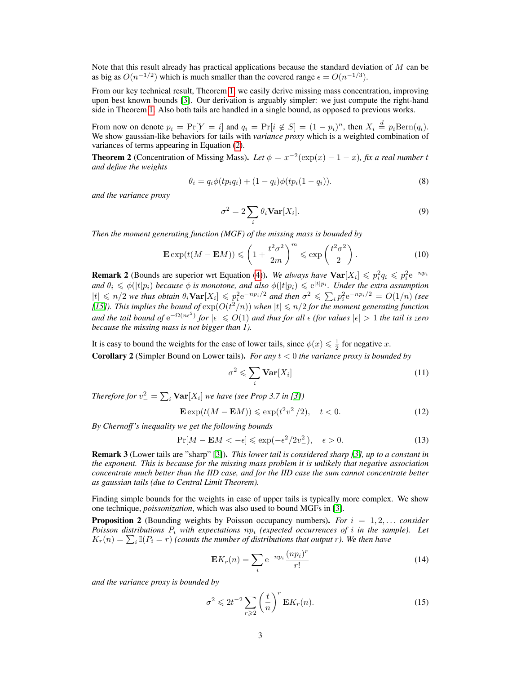Note that this result already has practical applications because the standard deviation of  $M$  can be as big as  $O(n^{-1/2})$  which is much smaller than the covered range  $\epsilon = O(n^{-1/3})$ .

From our key technical result, Theorem [1,](#page-1-0) we easily derive missing mass concentration, improving upon best known bounds [\[3\]](#page-7-5). Our derivation is arguably simpler: we just compute the right-hand side in Theorem [1.](#page-1-0) Also both tails are handled in a single bound, as opposed to previous works.

From now on denote  $p_i = \Pr[Y = i]$  and  $q_i = \Pr[i \notin S] = (1 - p_i)^n$ , then  $X_i \stackrel{d}{=} p_i \text{Bern}(q_i)$ . We show gaussian-like behaviors for tails with *variance proxy* which is a weighted combination of variances of terms appearing in Equation [\(2\)](#page-0-1).

<span id="page-2-0"></span>**Theorem 2** (Concentration of Missing Mass). Let  $\phi = x^{-2}(\exp(x) - 1 - x)$ , fix a real number t *and define the weights*

$$
\theta_i = q_i \phi(tp_iq_i) + (1 - q_i)\phi(tp_i(1 - q_i)).
$$
\n(8)

*and the variance proxy*

$$
\sigma^2 = 2 \sum_{i} \theta_i \mathbf{Var}[X_i]. \tag{9}
$$

*Then the moment generating function (MGF) of the missing mass is bounded by*

$$
\mathbf{E}\exp(t(M - \mathbf{E}M)) \leqslant \left(1 + \frac{t^2\sigma^2}{2m}\right)^m \leqslant \exp\left(\frac{t^2\sigma^2}{2}\right). \tag{10}
$$

**Remark 2** (Bounds are superior wrt Equation [\(4\)](#page-0-2)). We always have  $\text{Var}[X_i] \leq p_i^2 q_i \leq p_i^2 e^{-np_i}$ and  $\theta_i \leqslant \phi(|t|p_i)$  *because*  $\phi$  *is monotone, and also*  $\phi(|t|p_i) \leqslant e^{|t|p_i}$ *. Under the extra assumption*  $|t| \leq n/2$  *we thus obtain*  $\theta_i \textbf{Var}[X_i] \leq p_i^2 e^{-np_i/2}$  *and then*  $\sigma^2 \leq \sum_i p_i^2 e^{-np_i/2} = O(1/n)$  *(see* [\[15\]](#page-8-1)). This implies the bound of  $\exp(O(t^2/n))$  when  $|t| \leq n/2$  for the moment generating function and the tail bound of  $e^{-\Omega(n\epsilon^2)}$  for  $|\epsilon| \leqslant O(1)$  and thus for all  $\epsilon$  (for values  $|\epsilon| > 1$  the tail is zero *because the missing mass is not bigger than 1).*

It is easy to bound the weights for the case of lower tails, since  $\phi(x) \leq \frac{1}{2}$  for negative x. Corollary 2 (Simpler Bound on Lower tails). *For any* t < 0 *the variance proxy is bounded by*

$$
\sigma^2 \leqslant \sum_i \mathbf{Var}[X_i] \tag{11}
$$

*Therefore for*  $v_{-}^{2} = \sum_{i} \textbf{Var}[X_{i}]$  we have (see Prop 3.7 in [\[3\]](#page-7-5))

$$
\mathbf{E}\exp(t(M - \mathbf{E}M)) \leq \exp(t^2 v_{-}^2/2), \quad t < 0. \tag{12}
$$

*By Chernoff 's inequality we get the following bounds*

$$
\Pr[M - \mathbf{E}M < -\epsilon] \leq \exp(-\epsilon^2/2v_-^2), \quad \epsilon > 0. \tag{13}
$$

Remark 3 (Lower tails are "sharp" [\[3\]](#page-7-5)). *This lower tail is considered sharp [\[3\]](#page-7-5), up to a constant in the exponent. This is because for the missing mass problem it is unlikely that negative association concentrate much better than the IID case, and for the IID case the sum cannot concentrate better as gaussian tails (due to Central Limit Theorem).*

Finding simple bounds for the weights in case of upper tails is typically more complex. We show one technique, *poissonization*, which was also used to bound MGFs in [\[3\]](#page-7-5).

<span id="page-2-1"></span>**Proposition 2** (Bounding weights by Poisson occupancy numbers). For  $i = 1, 2, \ldots$  consider *Poisson distributions*  $P_i$  *with expectations*  $np_i$  *(expected occurrences of i in the sample). Let*  $K_r(n) = \sum_i \mathbb{I}(P_i = r)$  *(counts the number of distributions that output r).* We then have

$$
\mathbf{E}K_r(n) = \sum_i e^{-np_i} \frac{(np_i)^r}{r!}
$$
 (14)

*and the variance proxy is bounded by*

$$
\sigma^2 \leq 2t^{-2} \sum_{r \geq 2} \left(\frac{t}{n}\right)^r \mathbf{E} K_r(n). \tag{15}
$$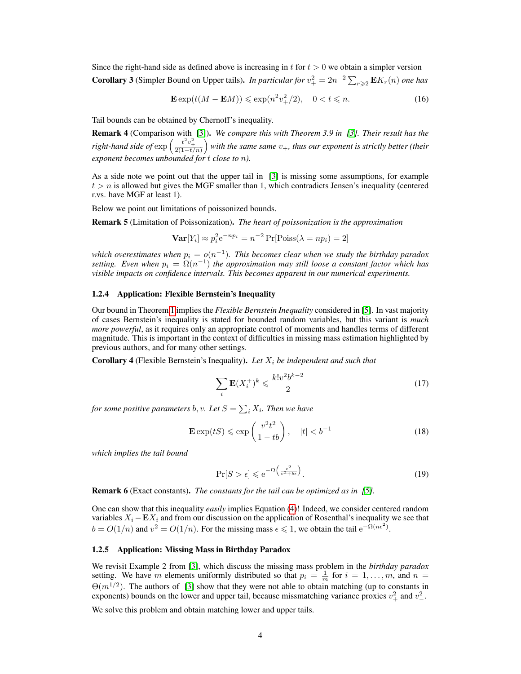Since the right-hand side as defined above is increasing in t for  $t > 0$  we obtain a simpler version **Corollary 3** (Simpler Bound on Upper tails). *In particular for*  $v_+^2 = 2n^{-2} \sum_{r \geq 2} \mathbf{E} K_r(n)$  *one has* 

$$
\mathbf{E}\exp(t(M - \mathbf{E}M)) \leq \exp(n^2 v_+^2/2), \quad 0 < t \leq n. \tag{16}
$$

Tail bounds can be obtained by Chernoff's inequality.

Remark 4 (Comparison with [\[3\]](#page-7-5)). *We compare this with Theorem 3.9 in [\[3\]](#page-7-5). Their result has the* right-hand side of  $\exp\left(\frac{t^2v_+^2}{2(1-t/n)}\right)$  with the same same  $v_+$ , thus our exponent is strictly better (their *exponent becomes unbounded for* t *close to* n*).*

As a side note we point out that the upper tail in [\[3\]](#page-7-5) is missing some assumptions, for example  $t > n$  is allowed but gives the MGF smaller than 1, which contradicts Jensen's inequality (centered r.vs. have MGF at least 1).

Below we point out limitations of poissonized bounds.

Remark 5 (Limitation of Poissonization). *The heart of poissonization is the approximation*

$$
\mathbf{Var}[Y_i] \approx p_i^2 e^{-np_i} = n^{-2} \Pr[\text{Poiss}(\lambda = np_i) = 2]
$$

which overestimates when  $p_i = o(n^{-1})$ . This becomes clear when we study the birthday paradox setting. Even when  $p_i = \Omega(n^{-1})$  the approximation may still loose a constant factor which has *visible impacts on confidence intervals. This becomes apparent in our numerical experiments.*

### 1.2.4 Application: Flexible Bernstein's Inequality

Our bound in Theorem [1](#page-1-0) implies the *Flexible Bernstein Inequality* considered in [\[5\]](#page-7-8). In vast majority of cases Bernstein's inequality is stated for bounded random variables, but this variant is *much more powerful*, as it requires only an appropriate control of moments and handles terms of different magnitude. This is important in the context of difficulties in missing mass estimation highlighted by previous authors, and for many other settings.

<span id="page-3-1"></span>**Corollary 4** (Flexible Bernstein's Inequality). Let  $X_i$  be independent and such that

$$
\sum_{i} \mathbf{E}(X_i^+)^k \leqslant \frac{k!v^2b^{k-2}}{2} \tag{17}
$$

for some positive parameters  $b, v$ . Let  $S = \sum_i X_i$ . Then we have

$$
\mathbf{E}\exp(tS) \leqslant \exp\left(\frac{v^2t^2}{1-tb}\right), \quad |t| < b^{-1} \tag{18}
$$

*which implies the tail bound*

$$
\Pr[S > \epsilon] \leqslant e^{-\Omega\left(\frac{\epsilon^2}{v^2 + b\epsilon}\right)}.
$$
\n<sup>(19)</sup>

Remark 6 (Exact constants). *The constants for the tail can be optimized as in [\[5\]](#page-7-8).*

One can show that this inequality *easily* implies Equation [\(4\)](#page-0-2)! Indeed, we consider centered random variables  $X_i - \mathbf{E} X_i$  and from our discussion on the application of Rosenthal's inequality we see that  $b = O(1/n)$  and  $v^2 = O(1/n)$ . For the missing mass  $\epsilon \leq 1$ , we obtain the tail  $e^{-\Omega(n\epsilon^2)}$ .

#### 1.2.5 Application: Missing Mass in Birthday Paradox

We revisit Example 2 from [\[3\]](#page-7-5), which discuss the missing mass problem in the *birthday paradox* setting. We have m elements uniformly distributed so that  $p_i = \frac{1}{m}$  for  $i = 1, ..., m$ , and  $n =$  $\Theta(m^{1/2})$ . The authors of [\[3\]](#page-7-5) show that they were not able to obtain matching (up to constants in exponents) bounds on the lower and upper tail, because missmatching variance proxies  $v^2_+$  and  $v^2_-$ .

<span id="page-3-0"></span>We solve this problem and obtain matching lower and upper tails.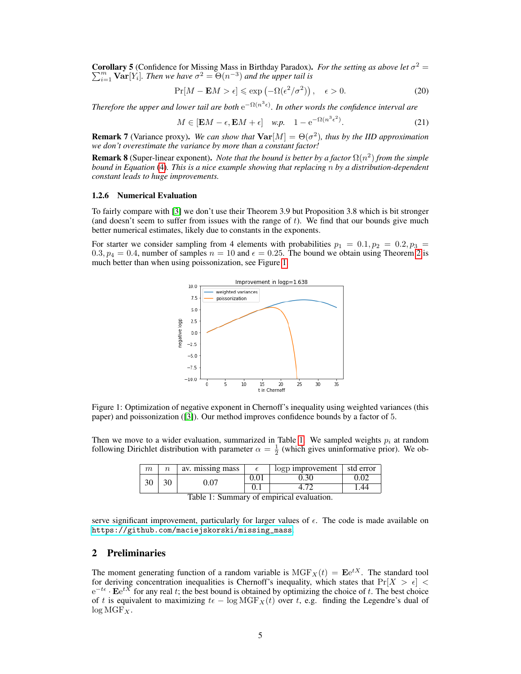Corollary 5 (Confidence for Missing Mass in Birthday Paradox). *For the setting as above let* σ P **orollary 5** (Confidence for Missing Mass in Birthday Paradox). For the setting as above let  $\sigma^2 =$ <br> $\frac{m}{n-1}$  **Var**[Y<sub>i</sub>]. *Then we have*  $\sigma^2 = \Theta(n^{-3})$  *and the upper tail is* 

$$
\Pr[M - \mathbf{E}M > \epsilon] \le \exp\left(-\Omega(\epsilon^2/\sigma^2)\right), \quad \epsilon > 0. \tag{20}
$$

*Therefore the upper and lower tail are both*  $e^{-\Omega(n^3 \epsilon)}$ . In other words the confidence interval are

$$
M \in [\mathbf{E}M - \epsilon, \mathbf{E}M + \epsilon] \quad w.p. \quad 1 - e^{-\Omega(n^3 \epsilon^2)}.
$$
 (21)

**Remark 7** (Variance proxy). We can show that  $\text{Var}[M] = \Theta(\sigma^2)$ , thus by the IID approximation *we don't overestimate the variance by more than a constant factor!*

**Remark 8** (Super-linear exponent). *Note that the bound is better by a factor*  $\Omega(n^2)$  *from the simple bound in Equation* [\(4\)](#page-0-2)*. This is a nice example showing that replacing* n *by a distribution-dependent constant leads to huge improvements.*

### 1.2.6 Numerical Evaluation

To fairly compare with [\[3\]](#page-7-5) we don't use their Theorem 3.9 but Proposition 3.8 which is bit stronger (and doesn't seem to suffer from issues with the range of  $t$ ). We find that our bounds give much better numerical estimates, likely due to constants in the exponents.

For starter we consider sampling from 4 elements with probabilities  $p_1 = 0.1, p_2 = 0.2, p_3 =$  $0.3, p_4 = 0.4$ , number of samples  $n = 10$  and  $\epsilon = 0.25$ . The bound we obtain using Theorem [2](#page-2-0) is much better than when using poissonization, see Figure [1.](#page-4-0)



<span id="page-4-0"></span>Figure 1: Optimization of negative exponent in Chernoff's inequality using weighted variances (this paper) and poissonization ([\[3\]](#page-7-5)). Our method improves confidence bounds by a factor of 5.

Then we move to a wider evaluation, summarized in Table [1.](#page-4-1) We sampled weights  $p_i$  at random following Dirichlet distribution with parameter  $\alpha = \frac{1}{2}$  (which gives uninformative prior). We ob-

| $\,m$ | av. missing mass |      | $\log p$ improvement $\int$ std error |    |
|-------|------------------|------|---------------------------------------|----|
| 30    | 0.07             | 0.01 | J.30                                  |    |
|       |                  |      |                                       | 44 |

<span id="page-4-1"></span>Table 1: Summary of empirical evaluation.

serve significant improvement, particularly for larger values of  $\epsilon$ . The code is made available on [https://github.com/maciejskorski/missing\\_mass](https://github.com/maciejskorski/missing_mass).

# 2 Preliminaries

The moment generating function of a random variable is  $MGF<sub>X</sub>(t) = \mathbf{E}e^{tX}$ . The standard tool for deriving concentration inequalities is Chernoff's inequality, which states that  $Pr[X > \epsilon]$  <  $e^{-t\epsilon} \cdot \mathbf{E}e^{tX}$  for any real t; the best bound is obtained by optimizing the choice of t. The best choice of t is equivalent to maximizing  $t\epsilon - \log \text{MGF}_X(t)$  over t, e.g. finding the Legendre's dual of  $log MGF_X$ .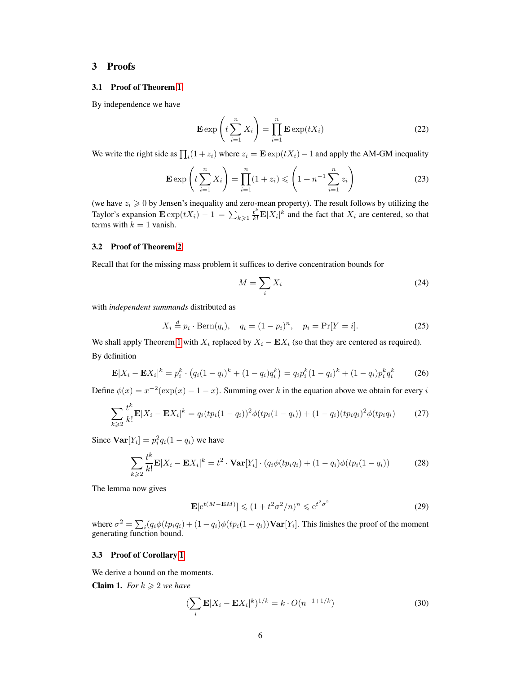# 3 Proofs

### 3.1 Proof of Theorem [1](#page-1-0)

By independence we have

$$
\mathbf{E} \exp\left(t\sum_{i=1}^{n} X_i\right) = \prod_{i=1}^{n} \mathbf{E} \exp(tX_i)
$$
 (22)

We write the right side as  $\prod_i(1 + z_i)$  where  $z_i = \mathbf{E} \exp(tX_i) - 1$  and apply the AM-GM inequality

$$
\mathbf{E} \exp\left(t \sum_{i=1}^{n} X_i\right) = \prod_{i=1}^{n} (1 + z_i) \leqslant \left(1 + n^{-1} \sum_{i=1}^{n} z_i\right)
$$
 (23)

(we have  $z_i \geqslant 0$  by Jensen's inequality and zero-mean property). The result follows by utilizing the Taylor's expansion  $\mathbf{E} \exp(tX_i) - 1 = \sum_{k \geq 1} \frac{t^k}{k!} \mathbf{E} |X_i|^k$  and the fact that  $X_i$  are centered, so that terms with  $k = 1$  vanish.

### <span id="page-5-0"></span>3.2 Proof of Theorem [2](#page-2-0)

Recall that for the missing mass problem it suffices to derive concentration bounds for

$$
M = \sum_{i} X_i \tag{24}
$$

with *independent summands* distributed as

$$
X_i \stackrel{d}{=} p_i \cdot \text{Bern}(q_i), \quad q_i = (1 - p_i)^n, \quad p_i = \Pr[Y = i]. \tag{25}
$$

We shall apply Theorem [1](#page-1-0) with  $X_i$  replaced by  $X_i - \mathbf{E} X_i$  (so that they are centered as required). By definition

$$
\mathbf{E}|X_i - \mathbf{E}X_i|^k = p_i^k \cdot (q_i(1 - q_i)^k + (1 - q_i)q_i^k) = q_i p_i^k (1 - q_i)^k + (1 - q_i) p_i^k q_i^k \tag{26}
$$

Define  $\phi(x) = x^{-2}(\exp(x) - 1 - x)$ . Summing over k in the equation above we obtain for every i

$$
\sum_{k\geqslant 2} \frac{t^k}{k!} \mathbf{E}|X_i - \mathbf{E}X_i|^k = q_i (tp_i (1 - q_i))^2 \phi(tp_i (1 - q_i)) + (1 - q_i)(tp_i q_i)^2 \phi(tp_i q_i)
$$
(27)

Since  $\text{Var}[Y_i] = p_i^2 q_i (1 - q_i)$  we have

$$
\sum_{k\geqslant 2} \frac{t^k}{k!} \mathbf{E}|X_i - \mathbf{E}X_i|^k = t^2 \cdot \mathbf{Var}[Y_i] \cdot \left( q_i \phi(tp_i q_i) + (1 - q_i) \phi(tp_i (1 - q_i) \right) \tag{28}
$$

The lemma now gives

$$
\mathbf{E}[e^{t(M - \mathbf{E}M)}] \leq (1 + t^2 \sigma^2/n)^n \leq e^{t^2 \sigma^2}
$$
 (29)

where  $\sigma^2 = \sum_i (q_i \phi(tp_iq_i) + (1 - q_i)\phi(tp_i(1 - q_i))\textbf{Var}[Y_i]$ . This finishes the proof of the moment generating function bound.

### 3.3 Proof of Corollary [1](#page-1-2)

We derive a bound on the moments.

**Claim 1.** *For*  $k \geq 2$  *we have* 

$$
\left(\sum_{i} \mathbf{E}|X_i - \mathbf{E}X_i|^k\right)^{1/k} = k \cdot O(n^{-1+1/k})\tag{30}
$$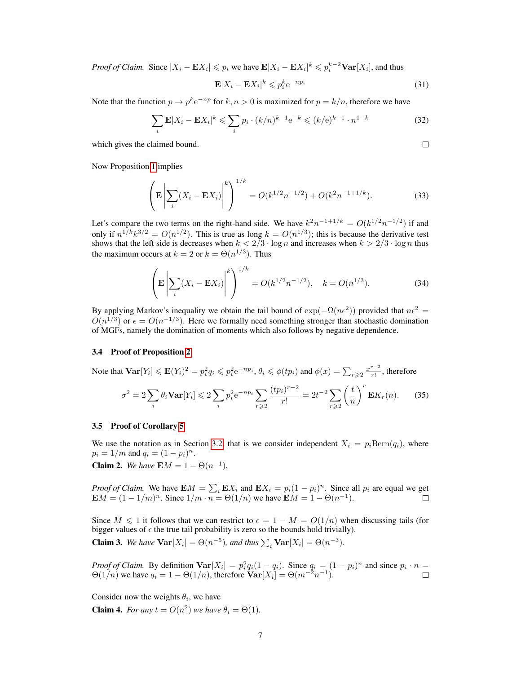*Proof of Claim.* Since  $|X_i - \mathbf{E}X_i| \leq p_i$  we have  $\mathbf{E}|X_i - \mathbf{E}X_i|^k \leq p_i^{k-2} \mathbf{Var}[X_i]$ , and thus

$$
\mathbf{E}|X_i - \mathbf{E}X_i|^k \leqslant p_i^k e^{-np_i} \tag{31}
$$

Note that the function  $p \to p^k e^{-np}$  for  $k, n > 0$  is maximized for  $p = k/n$ , therefore we have

$$
\sum_{i} \mathbf{E}|X_i - \mathbf{E}X_i|^k \leqslant \sum_{i} p_i \cdot (k/n)^{k-1} e^{-k} \leqslant (k/e)^{k-1} \cdot n^{1-k} \tag{32}
$$

which gives the claimed bound.

 $\Box$ 

Now Proposition [1](#page-1-1) implies

$$
\left(\mathbf{E}\left|\sum_{i}(X_{i}-\mathbf{E}X_{i})\right|^{k}\right)^{1/k} = O(k^{1/2}n^{-1/2}) + O(k^{2}n^{-1+1/k}).
$$
\n(33)

Let's compare the two terms on the right-hand side. We have  $k^2n^{-1+1/k} = O(k^{1/2}n^{-1/2})$  if and only if  $n^{1/k} k^{3/2} = O(n^{1/2})$ . This is true as long  $k = O(n^{1/3})$ ; this is because the derivative test shows that the left side is decreases when  $k < 2/3 \cdot \log n$  and increases when  $k > 2/3 \cdot \log n$  thus the maximum occurs at  $k = 2$  or  $k = \Theta(n^{1/3})$ . Thus

$$
\left(\mathbf{E}\left|\sum_{i}(X_{i}-\mathbf{E}X_{i})\right|^{k}\right)^{1/k} = O(k^{1/2}n^{-1/2}), \quad k = O(n^{1/3}).
$$
\n(34)

By applying Markov's inequality we obtain the tail bound of  $\exp(-\Omega(n\epsilon^2))$  provided that  $n\epsilon^2 =$  $O(n^{1/3})$  or  $\epsilon = O(n^{-1/3})$ . Here we formally need something stronger than stochastic domination of MGFs, namely the domination of moments which also follows by negative dependence.

### 3.4 Proof of Proposition [2](#page-2-1)

Note that  $\text{Var}[Y_i] \leq \mathbf{E}(Y_i)^2 = p_i^2 q_i \leqslant p_i^2 e^{-np_i}, \theta_i \leqslant \phi(tp_i)$  and  $\phi(x) = \sum_{r \geqslant 2} \frac{x^{r-2}}{r!}$  $\frac{1}{r!}$ , therefore

$$
\sigma^2 = 2 \sum_i \theta_i \mathbf{Var}[Y_i] \leq 2 \sum_i p_i^2 e^{-np_i} \sum_{r \geq 2} \frac{(tp_i)^{r-2}}{r!} = 2t^{-2} \sum_{r \geq 2} \left(\frac{t}{n}\right)^r \mathbf{E} K_r(n). \tag{35}
$$

### 3.5 Proof of Corollary [5](#page-3-0)

We use the notation as in Section [3.2,](#page-5-0) that is we consider independent  $X_i = p_i \text{Bern}(q_i)$ , where  $p_i = 1/m$  and  $q_i = (1 - p_i)^n$ . **Claim 2.** We have  $EM = 1 - \Theta(n^{-1})$ .

*Proof of Claim.* We have  $EM = \sum_i EX_i$  and  $EX_i = p_i(1 - p_i)^n$ . Since all  $p_i$  are equal we get  $\mathbf{E}M = (1 - 1/m)^n$ . Since  $1/m \cdot n = \Theta(1/n)$  we have  $\mathbf{E}M = 1 - \Theta(n^{-1})$ .

Since  $M \leq 1$  it follows that we can restrict to  $\epsilon = 1 - M = O(1/n)$  when discussing tails (for bigger values of  $\epsilon$  the true tail probability is zero so the bounds hold trivially).

**Claim 3.** We have  $\text{Var}[X_i] = \Theta(n^{-5})$ , and thus  $\sum_i \text{Var}[X_i] = \Theta(n^{-3})$ .

*Proof of Claim.* By definition  $\text{Var}[X_i] = p_i^2 q_i (1 - q_i)$ . Since  $q_i = (1 - p_i)^n$  and since  $p_i \cdot n =$  $\Theta(1/n)$  we have  $q_i = 1 - \Theta(1/n)$ , therefore  $\overline{\text{Var}[X_i]} = \Theta(m^{-2}n^{-1})$ .

Consider now the weights  $\theta_i$ , we have **Claim 4.** *For any*  $t = O(n^2)$  *we have*  $\theta_i = \Theta(1)$ *.*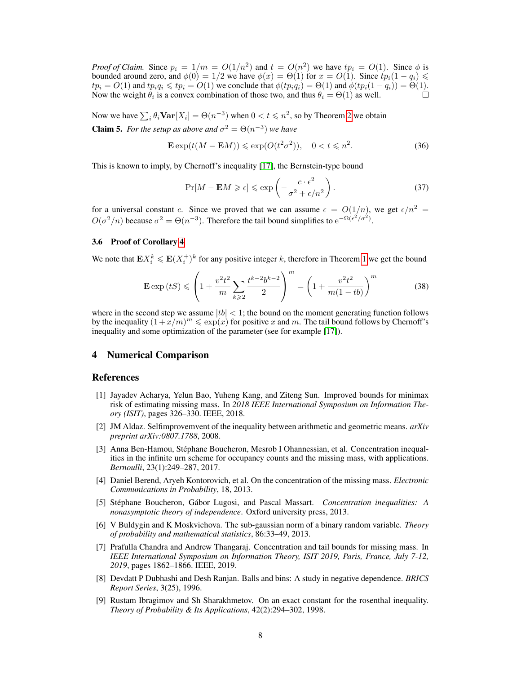*Proof of Claim.* Since  $p_i = 1/m = O(1/n^2)$  and  $t = O(n^2)$  we have  $tp_i = O(1)$ . Since  $\phi$  is bounded around zero, and  $\phi(0) = 1/2$  we have  $\phi(x) = \Theta(1)$  for  $x = O(1)$ . Since  $tp_i(1 - q_i) \le$  $tp_i = O(1)$  and  $tp_iq_i \leq tp_i = O(1)$  we conclude that  $\phi(tp_iq_i) = \Theta(1)$  and  $\phi(tp_i(1-q_i)) = \Theta(1)$ .<br>Now the weight  $\theta_i$  is a convex combination of those two, and thus  $\theta_i = \Theta(1)$  as well. Now the weight  $\theta_i$  is a convex combination of those two, and thus  $\theta_i = \Theta(1)$  as well.

Now we have  $\sum_i \theta_i \textbf{Var}[X_i] = \Theta(n^{-3})$  when  $0 < t \leqslant n^2$ , so by Theorem [2](#page-2-0) we obtain

**Claim 5.** *For the setup as above and*  $\sigma^2 = \Theta(n^{-3})$  *we have* 

$$
\mathbf{E}\exp(t(M - \mathbf{E}M)) \leq \exp(O(t^2\sigma^2)), \quad 0 < t \leq n^2. \tag{36}
$$

This is known to imply, by Chernoff's inequality [\[17\]](#page-8-7), the Bernstein-type bound

$$
\Pr[M - \mathbf{E}M \geqslant \epsilon] \leqslant \exp\left(-\frac{c \cdot \epsilon^2}{\sigma^2 + \epsilon/n^2}\right). \tag{37}
$$

for a universal constant c. Since we proved that we can assume  $\epsilon = O(1/n)$ , we get  $\epsilon/n^2 =$  $O(\sigma^2/n)$  because  $\sigma^2 = \Theta(n^{-3})$ . Therefore the tail bound simplifies to  $e^{-\Omega(\epsilon^2/\sigma^2)}$ .

### 3.6 Proof of Corollary [4](#page-3-1)

We note that  $\mathbf{E} X_i^k \leq \mathbf{E} (X_i^+)^k$  for any positive integer k, therefore in Theorem [1](#page-1-0) we get the bound

$$
\mathbf{E} \exp\left(tS\right) \leqslant \left(1 + \frac{v^2 t^2}{m} \sum_{k \geqslant 2} \frac{t^{k-2} b^{k-2}}{2}\right)^m = \left(1 + \frac{v^2 t^2}{m(1 - tb)}\right)^m \tag{38}
$$

where in the second step we assume  $|tb| < 1$ ; the bound on the moment generating function follows by the inequality  $(1+x/m)^m \leqslant \exp(x)$  for positive x and m. The tail bound follows by Chernoff's inequality and some optimization of the parameter (see for example [\[17\]](#page-8-7)).

# 4 Numerical Comparison

## References

- <span id="page-7-0"></span>[1] Jayadev Acharya, Yelun Bao, Yuheng Kang, and Ziteng Sun. Improved bounds for minimax risk of estimating missing mass. In *2018 IEEE International Symposium on Information Theory (ISIT)*, pages 326–330. IEEE, 2018.
- <span id="page-7-7"></span>[2] JM Aldaz. Selfimprovemvent of the inequality between arithmetic and geometric means. *arXiv preprint arXiv:0807.1788*, 2008.
- <span id="page-7-5"></span>[3] Anna Ben-Hamou, Stephane Boucheron, Mesrob I Ohannessian, et al. Concentration inequal- ´ ities in the infinite urn scheme for occupancy counts and the missing mass, with applications. *Bernoulli*, 23(1):249–287, 2017.
- <span id="page-7-2"></span>[4] Daniel Berend, Aryeh Kontorovich, et al. On the concentration of the missing mass. *Electronic Communications in Probability*, 18, 2013.
- <span id="page-7-8"></span>[5] Stéphane Boucheron, Gábor Lugosi, and Pascal Massart. *Concentration inequalities: A nonasymptotic theory of independence*. Oxford university press, 2013.
- <span id="page-7-4"></span>[6] V Buldygin and K Moskvichova. The sub-gaussian norm of a binary random variable. *Theory of probability and mathematical statistics*, 86:33–49, 2013.
- <span id="page-7-3"></span>[7] Prafulla Chandra and Andrew Thangaraj. Concentration and tail bounds for missing mass. In *IEEE International Symposium on Information Theory, ISIT 2019, Paris, France, July 7-12, 2019*, pages 1862–1866. IEEE, 2019.
- <span id="page-7-1"></span>[8] Devdatt P Dubhashi and Desh Ranjan. Balls and bins: A study in negative dependence. *BRICS Report Series*, 3(25), 1996.
- <span id="page-7-6"></span>[9] Rustam Ibragimov and Sh Sharakhmetov. On an exact constant for the rosenthal inequality. *Theory of Probability & Its Applications*, 42(2):294–302, 1998.